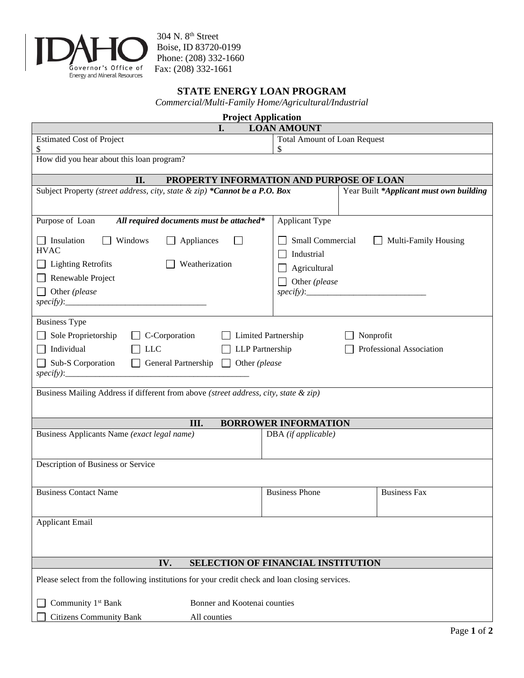

304 N. 8th Street Boise, ID 83720-0199 Phone: (208) 332-1660 Fax: (208) 332-1661

## **STATE ENERGY LOAN PROGRAM**

*Commercial/Multi-Family Home/Agricultural/Industrial*

| <b>Project Application</b>                                                                                                                                                                                                                                           |                                                                                         |  |  |  |
|----------------------------------------------------------------------------------------------------------------------------------------------------------------------------------------------------------------------------------------------------------------------|-----------------------------------------------------------------------------------------|--|--|--|
| I.                                                                                                                                                                                                                                                                   | <b>LOAN AMOUNT</b>                                                                      |  |  |  |
| <b>Estimated Cost of Project</b><br>\$                                                                                                                                                                                                                               | <b>Total Amount of Loan Request</b><br>\$                                               |  |  |  |
| How did you hear about this loan program?                                                                                                                                                                                                                            |                                                                                         |  |  |  |
| PROPERTY INFORMATION AND PURPOSE OF LOAN<br>II.                                                                                                                                                                                                                      |                                                                                         |  |  |  |
| Subject Property (street address, city, state & zip) *Cannot be a P.O. Box                                                                                                                                                                                           | Year Built *Applicant must own building                                                 |  |  |  |
| Purpose of Loan<br>All required documents must be attached*                                                                                                                                                                                                          | Applicant Type                                                                          |  |  |  |
| Insulation<br>Windows<br>Appliances<br><b>HVAC</b><br>Weatherization<br><b>Lighting Retrofits</b><br>Renewable Project<br>Other (please                                                                                                                              | Small Commercial<br>Multi-Family Housing<br>Industrial<br>Agricultural<br>Other (please |  |  |  |
| <b>Business Type</b><br>Sole Proprietorship<br>C-Corporation<br>Limited Partnership<br>Nonprofit<br>Individual<br><b>LLC</b><br><b>LLP</b> Partnership<br>Professional Association<br>$\Box$ Sub-S Corporation<br>$\Box$ General Partnership $\Box$<br>Other (please |                                                                                         |  |  |  |
| Business Mailing Address if different from above (street address, city, state & zip)                                                                                                                                                                                 |                                                                                         |  |  |  |
| Ш.                                                                                                                                                                                                                                                                   | <b>BORROWER INFORMATION</b>                                                             |  |  |  |
| Business Applicants Name (exact legal name)                                                                                                                                                                                                                          | DBA (if applicable)                                                                     |  |  |  |
| Description of Business or Service                                                                                                                                                                                                                                   |                                                                                         |  |  |  |
| <b>Business Contact Name</b>                                                                                                                                                                                                                                         | <b>Business Phone</b><br><b>Business Fax</b>                                            |  |  |  |
| <b>Applicant Email</b>                                                                                                                                                                                                                                               |                                                                                         |  |  |  |
| IV.<br><b>SELECTION OF FINANCIAL INSTITUTION</b>                                                                                                                                                                                                                     |                                                                                         |  |  |  |
| Please select from the following institutions for your credit check and loan closing services.                                                                                                                                                                       |                                                                                         |  |  |  |
| Community 1 <sup>st</sup> Bank<br>Bonner and Kootenai counties                                                                                                                                                                                                       |                                                                                         |  |  |  |
| <b>Citizens Community Bank</b><br>All counties                                                                                                                                                                                                                       |                                                                                         |  |  |  |